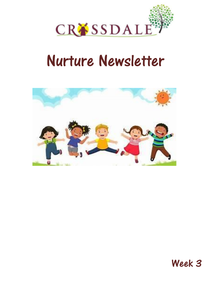

# Nurture Newsletter



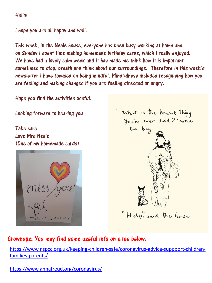#### Hello!

I hope you are all happy and well.

This week, in the Neale house, everyone has been busy working at home and on Sunday I spent time making homemade birthday cards, which I really enjoyed. We have had a lovely calm week and it has made me think how it is important sometimes to stop, breath and think about our surroundings. Therefore in this week's newsletter I have focused on being mindful. Mindfulness includes recognising how you are feeling and making changes if you are feeling stressed or angry.

Hope you find the activities useful.

Looking forward to hearing you

Take care. Love Mrs Neale (One of my homemade cards).





## Grownups: You may find some useful info on sites below:

[https://www.nspcc.org.uk/keeping-children-safe/coronavirus-advice-suppport-children](https://www.nspcc.org.uk/keeping-children-safe/coronavirus-advice-suppport-children-families-parents/)[families-parents/](https://www.nspcc.org.uk/keeping-children-safe/coronavirus-advice-suppport-children-families-parents/)

<https://www.annafreud.org/coronavirus/>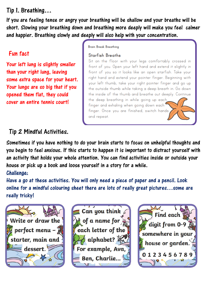#### Tip 1. Breathing…

If you are feeling tense or angry your breathing will be shallow and your breaths will be short. Slowing your breathing down and breathing more deeply will make you feel calmer and happier. Breathing slowly and deeply will also help with your concentration.

## Fun fact

Your left lung is slightly smaller than your right lung, leaving some extra space for your heart. Your lungs are so big that if you opened them flat, they could cover an entire tennis court!

#### **Brain Break Breathing**

#### **Starfish Breaths**

Sit on the floor with your legs comfortably crossed in front of you. Open your left hand and extend it slightly in front of you so it looks like an open starfish. Take your right hand and extend your pointer finger. Beginning with your left thumb, take your right pointer finger and go up the outside thumb while taking a deep breath in. Go down the inside of the thumb and breathe out deeply. Continue the deep breathing in while going up each finger and exhaling when going down each finger. Once you are finished, switch hands and repeat.

# Tip 2 Mindful Activities.

Sometimes if you have nothing to do your brain starts to focus on unhelpful thoughts and you begin to feel anxious. If this starts to happen it is important to distract yourself with an activity that holds your whole attention. You can find activities inside or outside your house or pick up a book and loose yourself in a story for a while. Challenge:

Have a go at these activities. You will only need a piece of paper and a pencil. Look online for a mindful colouring sheet there are lots of really great pictures…some are really tricky!



Can you think  $\lambda$  of a name for  $\ge$ each letter of the alphabet? For example, Ava, Ben, Charlie...

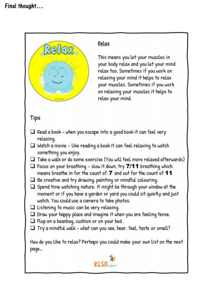## Final thought...